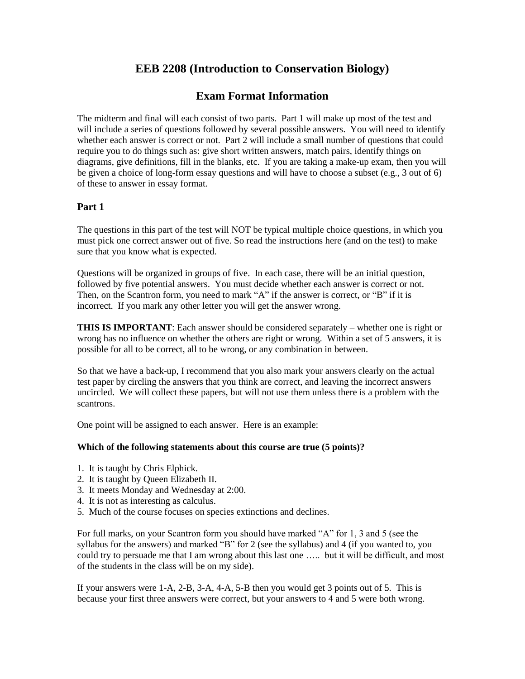# **EEB 2208 (Introduction to Conservation Biology)**

## **Exam Format Information**

The midterm and final will each consist of two parts. Part 1 will make up most of the test and will include a series of questions followed by several possible answers. You will need to identify whether each answer is correct or not. Part 2 will include a small number of questions that could require you to do things such as: give short written answers, match pairs, identify things on diagrams, give definitions, fill in the blanks, etc. If you are taking a make-up exam, then you will be given a choice of long-form essay questions and will have to choose a subset (e.g., 3 out of 6) of these to answer in essay format.

### **Part 1**

The questions in this part of the test will NOT be typical multiple choice questions, in which you must pick one correct answer out of five. So read the instructions here (and on the test) to make sure that you know what is expected.

Questions will be organized in groups of five. In each case, there will be an initial question, followed by five potential answers. You must decide whether each answer is correct or not. Then, on the Scantron form, you need to mark "A" if the answer is correct, or "B" if it is incorrect. If you mark any other letter you will get the answer wrong.

**THIS IS IMPORTANT**: Each answer should be considered separately – whether one is right or wrong has no influence on whether the others are right or wrong. Within a set of 5 answers, it is possible for all to be correct, all to be wrong, or any combination in between.

So that we have a back-up, I recommend that you also mark your answers clearly on the actual test paper by circling the answers that you think are correct, and leaving the incorrect answers uncircled. We will collect these papers, but will not use them unless there is a problem with the scantrons.

One point will be assigned to each answer. Here is an example:

#### **Which of the following statements about this course are true (5 points)?**

- 1. It is taught by Chris Elphick.
- 2. It is taught by Queen Elizabeth II.
- 3. It meets Monday and Wednesday at 2:00.
- 4. It is not as interesting as calculus.
- 5. Much of the course focuses on species extinctions and declines.

For full marks, on your Scantron form you should have marked "A" for 1, 3 and 5 (see the syllabus for the answers) and marked "B" for 2 (see the syllabus) and 4 (if you wanted to, you could try to persuade me that I am wrong about this last one ….. but it will be difficult, and most of the students in the class will be on my side).

If your answers were 1-A, 2-B, 3-A, 4-A, 5-B then you would get 3 points out of 5. This is because your first three answers were correct, but your answers to 4 and 5 were both wrong.